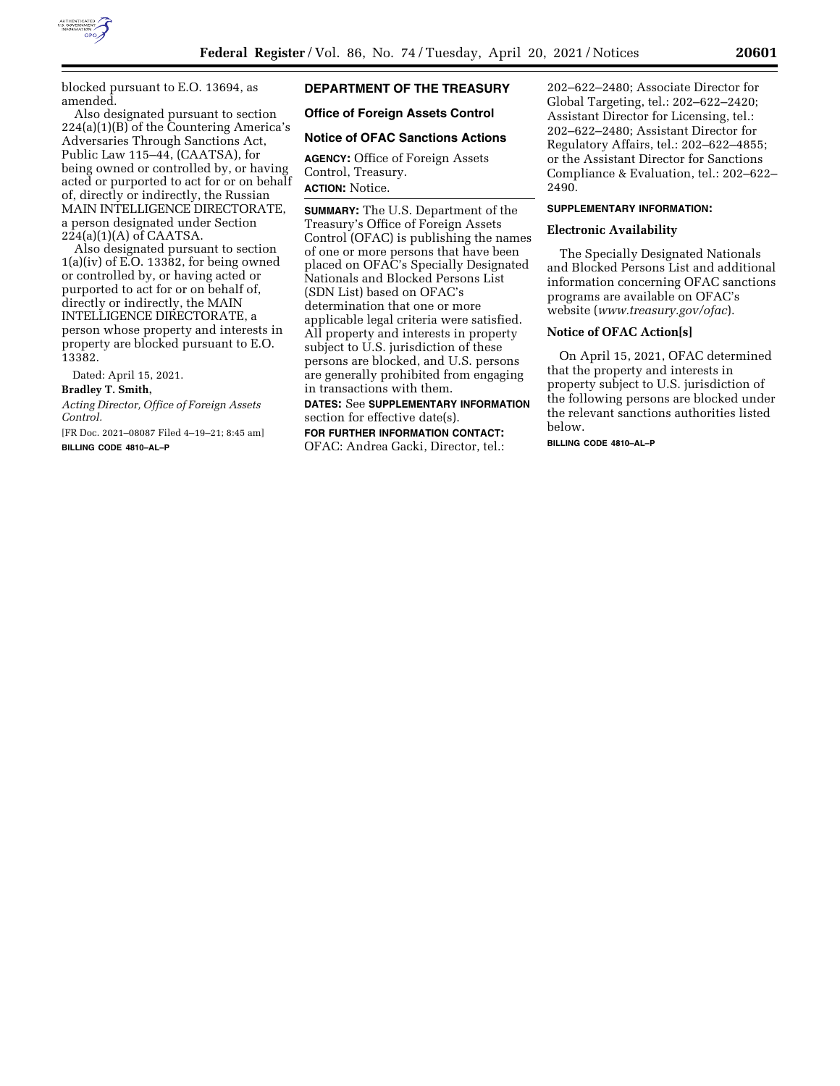

blocked pursuant to E.O. 13694, as amended.

Also designated pursuant to section 224(a)(1)(B) of the Countering America's Adversaries Through Sanctions Act, Public Law 115–44, (CAATSA), for being owned or controlled by, or having acted or purported to act for or on behalf of, directly or indirectly, the Russian MAIN INTELLIGENCE DIRECTORATE, a person designated under Section  $224(a)(1)(A)$  of CAATSA.

Also designated pursuant to section  $1(a)(iv)$  of E.O. 13382, for being owned or controlled by, or having acted or purported to act for or on behalf of, directly or indirectly, the MAIN INTELLIGENCE DIRECTORATE, a person whose property and interests in property are blocked pursuant to E.O. 13382.

Dated: April 15, 2021.

### **Bradley T. Smith,**

*Acting Director, Office of Foreign Assets Control.* 

[FR Doc. 2021–08087 Filed 4–19–21; 8:45 am] **BILLING CODE 4810–AL–P** 

# **DEPARTMENT OF THE TREASURY**

## **Office of Foreign Assets Control**

### **Notice of OFAC Sanctions Actions**

**AGENCY:** Office of Foreign Assets Control, Treasury. **ACTION:** Notice.

**SUMMARY:** The U.S. Department of the Treasury's Office of Foreign Assets Control (OFAC) is publishing the names of one or more persons that have been placed on OFAC's Specially Designated Nationals and Blocked Persons List (SDN List) based on OFAC's determination that one or more applicable legal criteria were satisfied. All property and interests in property subject to U.S. jurisdiction of these persons are blocked, and U.S. persons are generally prohibited from engaging in transactions with them.

**DATES:** See **SUPPLEMENTARY INFORMATION** section for effective date(s).

**FOR FURTHER INFORMATION CONTACT:**  OFAC: Andrea Gacki, Director, tel.: 202–622–2480; Associate Director for Global Targeting, tel.: 202–622–2420; Assistant Director for Licensing, tel.: 202–622–2480; Assistant Director for Regulatory Affairs, tel.: 202–622–4855; or the Assistant Director for Sanctions Compliance & Evaluation, tel.: 202–622– 2490.

### **SUPPLEMENTARY INFORMATION:**

### **Electronic Availability**

The Specially Designated Nationals and Blocked Persons List and additional information concerning OFAC sanctions programs are available on OFAC's website (*[www.treasury.gov/ofac](http://www.treasury.gov/ofac)*).

### **Notice of OFAC Action[s]**

On April 15, 2021, OFAC determined that the property and interests in property subject to U.S. jurisdiction of the following persons are blocked under the relevant sanctions authorities listed below.

**BILLING CODE 4810–AL–P**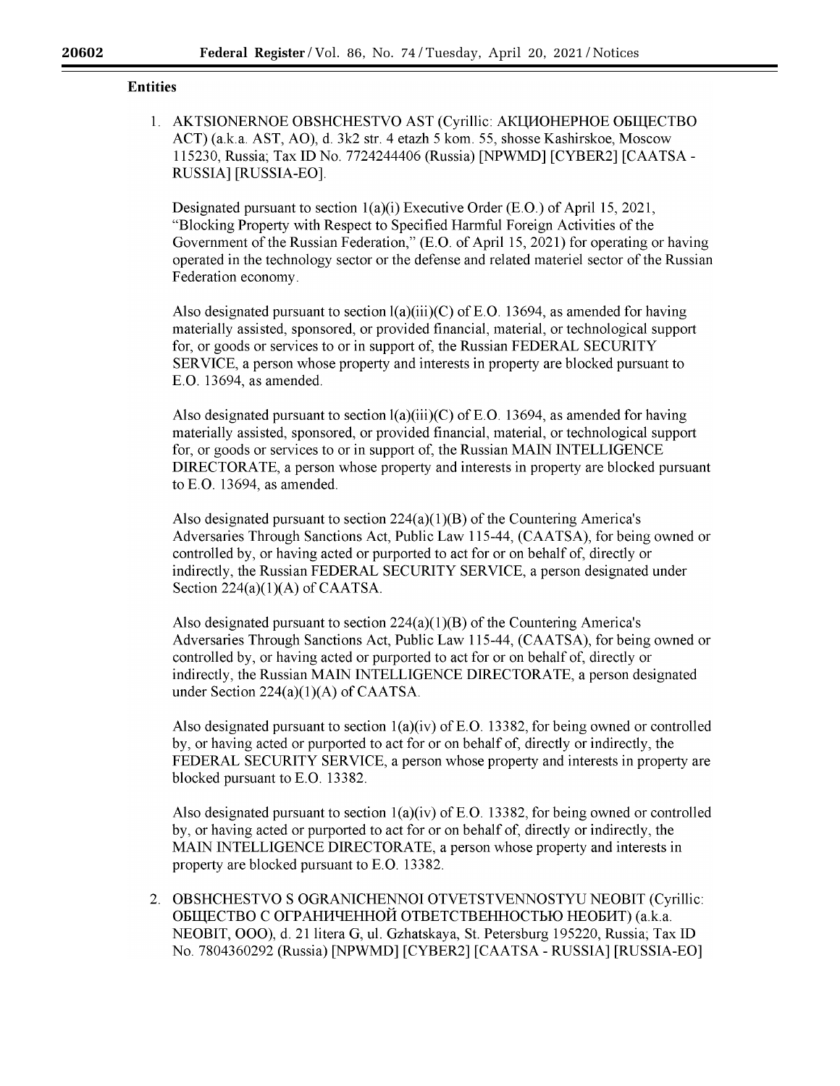## **Entities**

1. AKTSIONERNOE OBSHCHESTVO AST (Cyrillic: AKLINOHEPHOE OELLECTBO ACT) (a.k.a. AST, AO), d. 3k2 str. 4 etazh 5 kom. 55, shosse Kashirskoe, Moscow 115230, Russia; Tax ID No. 7724244406 (Russia) [NPWMD] [CYBER2] [CAATSA-RUSSIA] [RUSSIA-BO].

Designated pursuant to section 1(a)(i) Executive Order (E.O.) of April 15, 2021, "Blocking Property with Respect to Specified Harmful Foreign Activities of the Government of the Russian Federation," (E.O. of April 15, 2021) for operating or having operated in the technology sector or the defense and related materiel sector of the Russian Federation economy.

Also designated pursuant to section  $l(a)(iii)(C)$  of E.O. 13694, as amended for having materially assisted, sponsored, or provided financial, material, or technological support for, or goods or services to or in support of, the Russian FEDERAL SECURITY SERVICE, a person whose property and interests in property are blocked pursuant to E.O. 13694, as amended.

Also designated pursuant to section  $l(a)(iii)(C)$  of E.O. 13694, as amended for having materially assisted, sponsored, or provided financial, material, or technological support for, or goods or services to or in support of, the Russian MAIN INTELLIGENCE DIRECTORATE, a person whose property and interests in property are blocked pursuant to E.O. 13694, as amended.

Also designated pursuant to section  $224(a)(1)(B)$  of the Countering America's Adversaries Through Sanctions Act, Public Law 115-44, (CAATSA), for being owned or controlled by, or having acted or purported to act for or on behalf of, directly or indirectly, the Russian FEDERAL SECURITY SERVICE, a person designated under Section  $224(a)(1)(A)$  of CAATSA.

Also designated pursuant to section  $224(a)(1)(B)$  of the Countering America's Adversaries Through Sanctions Act, Public Law 115-44, (CAATSA), for being owned or controlled by, or having acted or purported to act for or on behalf of, directly or indirectly, the Russian MAIN INTELLIGENCE DIRECTORATE, a person designated under Section  $224(a)(1)(A)$  of CAATSA.

Also designated pursuant to section  $l(a)(iv)$  of E.O. 13382, for being owned or controlled by, or having acted or purported to act for or on behalf of, directly or indirectly, the FEDERAL SECURITY SERVICE, a person whose property and interests in property are blocked pursuant to E.O. 13382.

Also designated pursuant to section  $1(a)(iv)$  of E.O. 13382, for being owned or controlled by, or having acted or purported to act for or on behalf of, directly or indirectly, the MAIN INTELLIGENCE DIRECTORATE, a person whose property and interests in property are blocked pursuant to E.O. 13382.

2. OBSHCHESTVO S OGRANICHENNOI OTVETSTVENNOSTYU NEOBIT (Cyrillic: ОБЩЕСТВО С ОГРАНИЧЕННОЙ ОТВЕТСТВЕННОСТЬЮ НЕОБИТ) (a.k.a. NEOBIT, 000), d. 21 litera G, ul. Gzhatskaya, St. Petersburg 195220, Russia; Tax ID No. 7804360292 (Russia) [NPWMD] [CYBER2] [CAATSA - RUSSIA] [RUSSIA-BO]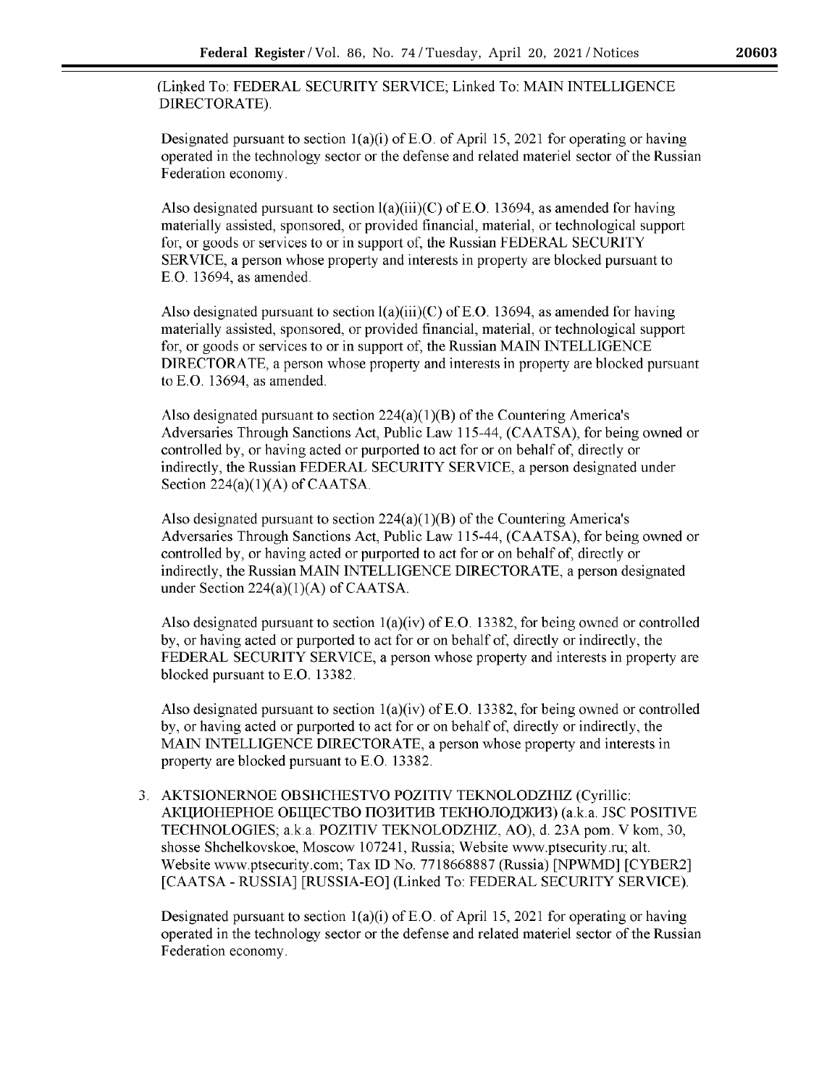(Linked To: FEDERAL SECURITY SERVICE; Linked To: MAIN INTELLIGENCE DIRECTORATE).

Designated pursuant to section  $1(a)(i)$  of E.O. of April 15, 2021 for operating or having operated in the technology sector or the defense and related materiel sector of the Russian Federation economy.

Also designated pursuant to section  $I(a)(iii)(C)$  of E.O. 13694, as amended for having materially assisted, sponsored, or provided financial, material, or technological support for, or goods or services to or in support of, the Russian FEDERAL SECURITY SER VICE, a person whose property and interests in property are blocked pursuant to E.O. 13694, as amended.

Also designated pursuant to section  $l(a)(iii)(C)$  of E.O. 13694, as amended for having materially assisted, sponsored, or provided financial, material, or technological support for, or goods or services to or in support of, the Russian MAIN INTELLIGENCE DIRECTORATE, a person whose property and interests in property are blocked pursuant to E.O. 13694, as amended.

Also designated pursuant to section  $224(a)(1)(B)$  of the Countering America's Adversaries Through Sanctions Act, Public Law 115-44, (CAATSA), for being owned or controlled by, or having acted or purported to act for or on behalf of, directly or indirectly, the Russian FEDERAL SECURITY SERVICE, a person designated under Section  $224(a)(1)(A)$  of CAATSA.

Also designated pursuant to section  $224(a)(1)(B)$  of the Countering America's Adversaries Through Sanctions Act, Public Law 115-44, (CAATSA), for being owned or controlled by, or having acted or purported to act for or on behalf of, directly or indirectly, the Russian MAIN INTELLIGENCE DIRECTORATE, a person designated under Section  $224(a)(1)(A)$  of CAATSA.

Also designated pursuant to section  $1(a)(iv)$  of E.O. 13382, for being owned or controlled by, or having acted or purported to act for or on behalf of, directly or indirectly, the FEDERAL SECURITY SERVICE, a person whose property and interests in property are blocked pursuant to E.O. 13382.

Also designated pursuant to section  $1(a)(iv)$  of E.O. 13382, for being owned or controlled by, or having acted or purported to act for or on behalf of, directly or indirectly, the MAIN INTELLIGENCE DIRECTORATE, a person whose property and interests in property are blocked pursuant to E.O. 13382.

3. AKTSIONERNOE OBSHCHESTVO POZITIV TEKNOLODZHIZ (Cyrillic: AКЦИОНЕРНОЕ ОБЩЕСТВО ПОЗИТИВ ТЕКНОЛОДЖИЗ) (a.k.a. JSC POSITIVE TECHNOLOGIES; a.k.a. POZITIV TEKNOLODZHIZ, AO), d. 23A porn. V kom, 30, shosse Shchelkovskoe, Moscow 107241, Russia; Website [www.ptsecurity.ru;](https://www.ptsecurity.ru) alt. Website [www.ptsecurity.com;](https://www.ptsecurity.com) Tax ID No. 7718668887 (Russia) [NPWMD] [CYBER2] [CAATSA- RUSSIA] [RUSSIA-EO] (Linked To: FEDERAL SECURITY SERVICE).

Designated pursuant to section  $1(a)(i)$  of E.O. of April 15, 2021 for operating or having operated in the technology sector or the defense and related materiel sector of the Russian Federation economy.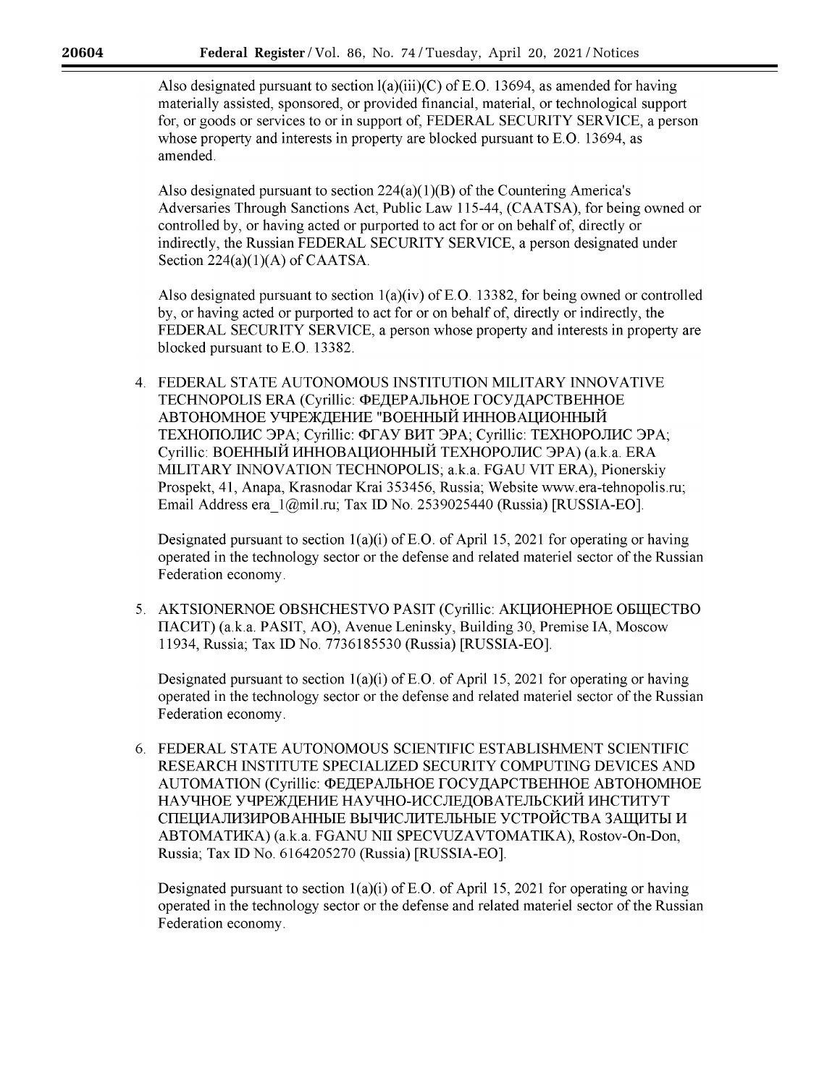Also designated pursuant to section  $l(a)(iii)(C)$  of E.O. 13694, as amended for having materially assisted, sponsored, or provided financial, material, or technological support for, or goods or services to or in support of, FEDERAL SECURITY SER VICE, a person whose property and interests in property are blocked pursuant to E.O. 13694, as amended.

Also designated pursuant to section  $224(a)(1)(B)$  of the Countering America's Adversaries Through Sanctions Act, Public Law 115-44, (CAATSA), for being owned or controlled by, or having acted or purported to act for or on behalf of, directly or indirectly, the Russian FEDERAL SECURITY SERVICE, a person designated under Section  $224(a)(1)(A)$  of CAATSA.

Also designated pursuant to section  $1(a)(iv)$  of E.O. 13382, for being owned or controlled by, or having acted or purported to act for or on behalf of, directly or indirectly, the FEDERAL SECURITY SERVICE, a person whose property and interests in property are blocked pursuant to E.O. 13382.

4. FEDERAL STATE AUTONOMOUS INSTITUTION MILITARY INNOVATIVE TECHNOPOLIS ERA (Cyrillic: ФЕДЕРАЛЬНОЕ ГОСУДАРСТВЕННОЕ АВТОНОМНОЕ УЧРЕЖДЕНИЕ "ВОЕННЫЙ ИННОВАЦИОННЫЙ TEXHOIIOJIMC 3PA; Cyrillic: ФГАУ ВИТ ЭРА; Cyrillic: ТЕХНОРОЛИС ЭРА; Cyrillic: ВОЕННЫЙ ИННОВАЦИОННЫЙ ТЕХНОРОЛИС ЭРА) (a.k.a. ERA MILITARY INNOVATION TECHNOPOLIS; a.k.a. FGAU VIT ERA), Pionerskiy Prospekt, 41, Anapa, Krasnodar Krai 353456, Russia; Website [www.era-tehnopolis.ru;](https://www.era-tehnopolis.ru) Email Address [era\\_l@mil.ru;](mailto:era_1@mil.ru) Tax ID No. 2539025440 (Russia) [RUSSIA-EO].

Designated pursuant to section  $1(a)(i)$  of E.O. of April 15, 2021 for operating or having operated in the technology sector or the defense and related materiel sector of the Russian Federation economy.

5. AKTSIONERNOE OBSHCHESTVO PASIT (Cyrillic: AKLUOHEPHOE OBILIECTBO IIAClfT) (a.k.a. PASIT, AO), Avenue Leninsky, Building 30, Premise IA, Moscow 11934, Russia; Tax ID No. 7736185530 (Russia) [RUSSIA-EO].

Designated pursuant to section  $1(a)(i)$  of E.O. of April 15, 2021 for operating or having operated in the technology sector or the defense and related materiel sector of the Russian Federation economy.

6. FEDERAL STATE AUTONOMOUS SCIENTIFIC ESTABLISHMENT SCIENTIFIC RESEARCH INSTITUTE SPECIALIZED SECURITY COMPUTING DEVICES AND AUTOMATION (Cyrillic: ФЕДЕРАЛЬНОЕ ГОСУДАРСТВЕННОЕ АВТОНОМНОЕ НАУЧНОЕ УЧРЕЖДЕНИЕ НАУЧНО-ИССЛЕДОВАТЕЛЬСКИЙ ИНСТИТУТ СПЕЦИАЛИЗИРОВАННЫЕ ВЫЧИСЛИТЕЛЬНЫЕ УСТРОЙСТВА ЗАЩИТЫ И ABTOMATlfKA) (a.k.a. FGANU NII SPECVUZAVTOMATIKA), Rostov-On-Don, Russia; Tax ID No. 6164205270 (Russia) [RUSSIA-EO].

Designated pursuant to section  $1(a)(i)$  of E.O. of April 15, 2021 for operating or having operated in the technology sector or the defense and related materiel sector of the Russian Federation economy.